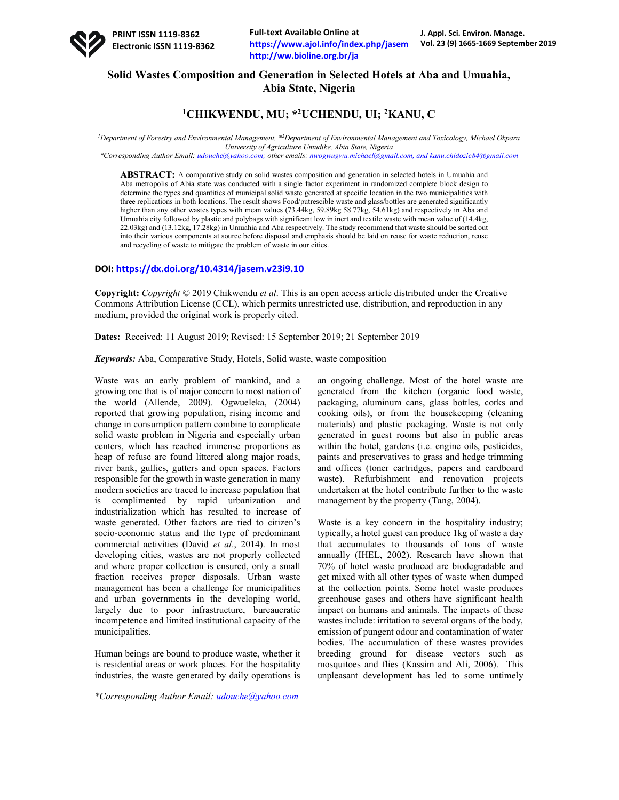# **Solid Wastes Composition and Generation in Selected Hotels at Aba and Umuahia, Abia State, Nigeria**

## **1CHIKWENDU, MU; \*2UCHENDU, UI; 2KANU, C**

<sup>1</sup>Department of Forestry and Environmental Management, \*<sup>2</sup>Department of Environmental Management and Toxicology, Michael Okpara *University of Agriculture Umudike, Abia State, Nigeria*

*\*Corresponding Author Email: udouche@yahoo.com; other emails: nwogwugwu.michael@gmail.com, and kanu.chidozie84@gmail.com*

**ABSTRACT:** A comparative study on solid wastes composition and generation in selected hotels in Umuahia and Aba metropolis of Abia state was conducted with a single factor experiment in randomized complete block design to determine the types and quantities of municipal solid waste generated at specific location in the two municipalities with three replications in both locations. The result shows Food/putrescible waste and glass/bottles are generated significantly higher than any other wastes types with mean values (73.44kg, 59.89kg 58.77kg, 54.61kg) and respectively in Aba and Umuahia city followed by plastic and polybags with significant low in inert and textile waste with mean value of (14.4kg, 22.03kg) and (13.12kg, 17.28kg) in Umuahia and Aba respectively. The study recommend that waste should be sorted out into their various components at source before disposal and emphasis should be laid on reuse for waste reduction, reuse and recycling of waste to mitigate the problem of waste in our cities.

## **DOI: https://dx.doi.org/10.4314/jasem.v23i9.10**

**Copyright:** *Copyright* © 2019 Chikwendu *et al*. This is an open access article distributed under the Creative Commons Attribution License (CCL), which permits unrestricted use, distribution, and reproduction in any medium, provided the original work is properly cited.

**Dates:** Received: 11 August 2019; Revised: 15 September 2019; 21 September 2019

*Keywords:* Aba, Comparative Study, Hotels, Solid waste, waste composition

Waste was an early problem of mankind, and a growing one that is of major concern to most nation of the world (Allende, 2009). Ogwueleka, (2004) reported that growing population, rising income and change in consumption pattern combine to complicate solid waste problem in Nigeria and especially urban centers, which has reached immense proportions as heap of refuse are found littered along major roads, river bank, gullies, gutters and open spaces. Factors responsible for the growth in waste generation in many modern societies are traced to increase population that is complimented by rapid urbanization and industrialization which has resulted to increase of waste generated. Other factors are tied to citizen's socio-economic status and the type of predominant commercial activities (David *et al*., 2014). In most developing cities, wastes are not properly collected and where proper collection is ensured, only a small fraction receives proper disposals. Urban waste management has been a challenge for municipalities and urban governments in the developing world, largely due to poor infrastructure, bureaucratic incompetence and limited institutional capacity of the municipalities.

Human beings are bound to produce waste, whether it is residential areas or work places. For the hospitality industries, the waste generated by daily operations is

*\*Corresponding Author Email: udouche@yahoo.com*

an ongoing challenge. Most of the hotel waste are generated from the kitchen (organic food waste, packaging, aluminum cans, glass bottles, corks and cooking oils), or from the housekeeping (cleaning materials) and plastic packaging. Waste is not only generated in guest rooms but also in public areas within the hotel, gardens (i.e. engine oils, pesticides, paints and preservatives to grass and hedge trimming and offices (toner cartridges, papers and cardboard waste). Refurbishment and renovation projects undertaken at the hotel contribute further to the waste management by the property (Tang, 2004).

Waste is a key concern in the hospitality industry; typically, a hotel guest can produce 1kg of waste a day that accumulates to thousands of tons of waste annually (IHEL, 2002). Research have shown that 70% of hotel waste produced are biodegradable and get mixed with all other types of waste when dumped at the collection points. Some hotel waste produces greenhouse gases and others have significant health impact on humans and animals. The impacts of these wastes include: irritation to several organs of the body, emission of pungent odour and contamination of water bodies. The accumulation of these wastes provides breeding ground for disease vectors such as mosquitoes and flies (Kassim and Ali, 2006). This unpleasant development has led to some untimely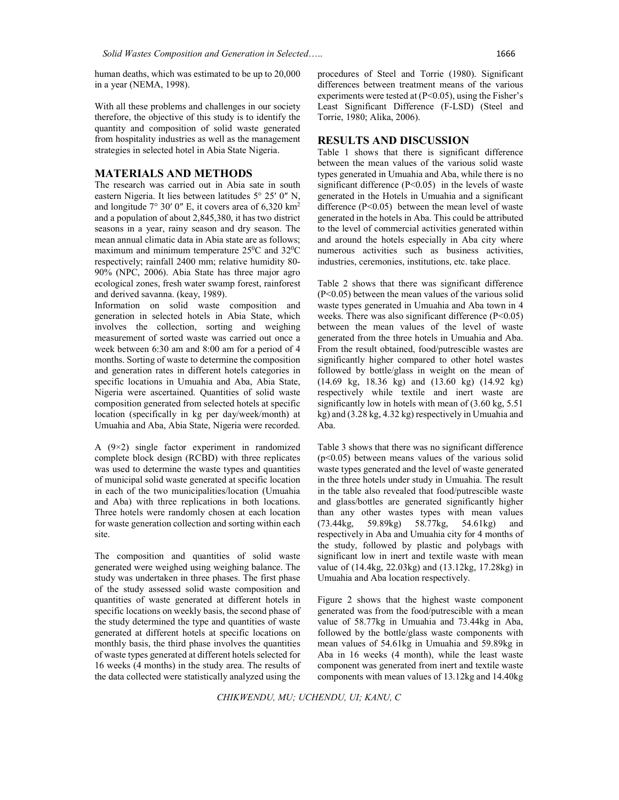human deaths, which was estimated to be up to 20,000 in a year (NEMA, 1998).

With all these problems and challenges in our society therefore, the objective of this study is to identify the quantity and composition of solid waste generated from hospitality industries as well as the management strategies in selected hotel in Abia State Nigeria.

### **MATERIALS AND METHODS**

The research was carried out in Abia sate in south eastern Nigeria. It lies between latitudes 5° 25′ 0″ N, and longitude 7° 30′ 0″ E, it covers area of 6,320 km2 and a population of about 2,845,380, it has two district seasons in a year, rainy season and dry season. The mean annual climatic data in Abia state are as follows; maximum and minimum temperature  $25^{\circ}$ C and  $32^{\circ}$ C respectively; rainfall 2400 mm; relative humidity 80- 90% (NPC, 2006). Abia State has three major agro ecological zones, fresh water swamp forest, rainforest and derived savanna. (keay, 1989).

Information on solid waste composition and generation in selected hotels in Abia State, which involves the collection, sorting and weighing measurement of sorted waste was carried out once a week between 6:30 am and 8:00 am for a period of 4 months. Sorting of waste to determine the composition and generation rates in different hotels categories in specific locations in Umuahia and Aba, Abia State, Nigeria were ascertained. Quantities of solid waste composition generated from selected hotels at specific location (specifically in kg per day/week/month) at Umuahia and Aba, Abia State, Nigeria were recorded.

A (9×2) single factor experiment in randomized complete block design (RCBD) with three replicates was used to determine the waste types and quantities of municipal solid waste generated at specific location in each of the two municipalities/location (Umuahia and Aba) with three replications in both locations. Three hotels were randomly chosen at each location for waste generation collection and sorting within each site.

The composition and quantities of solid waste generated were weighed using weighing balance. The study was undertaken in three phases. The first phase of the study assessed solid waste composition and quantities of waste generated at different hotels in specific locations on weekly basis, the second phase of the study determined the type and quantities of waste generated at different hotels at specific locations on monthly basis, the third phase involves the quantities of waste types generated at different hotels selected for 16 weeks (4 months) in the study area. The results of the data collected were statistically analyzed using the

procedures of Steel and Torrie (1980). Significant differences between treatment means of the various experiments were tested at  $(P<0.05)$ , using the Fisher's Least Significant Difference (F-LSD) (Steel and Torrie, 1980; Alika, 2006).

### **RESULTS AND DISCUSSION**

Table 1 shows that there is significant difference between the mean values of the various solid waste types generated in Umuahia and Aba, while there is no significant difference  $(P<0.05)$  in the levels of waste generated in the Hotels in Umuahia and a significant difference  $(P<0.05)$  between the mean level of waste generated in the hotels in Aba. This could be attributed to the level of commercial activities generated within and around the hotels especially in Aba city where numerous activities such as business activities, industries, ceremonies, institutions, etc. take place.

Table 2 shows that there was significant difference (P<0.05) between the mean values of the various solid waste types generated in Umuahia and Aba town in 4 weeks. There was also significant difference (P<0.05) between the mean values of the level of waste generated from the three hotels in Umuahia and Aba. From the result obtained, food/putrescible wastes are significantly higher compared to other hotel wastes followed by bottle/glass in weight on the mean of (14.69 kg, 18.36 kg) and (13.60 kg) (14.92 kg) respectively while textile and inert waste are significantly low in hotels with mean of (3.60 kg, 5.51 kg) and (3.28 kg, 4.32 kg) respectively in Umuahia and Aba.

Table 3 shows that there was no significant difference  $(p<0.05)$  between means values of the various solid waste types generated and the level of waste generated in the three hotels under study in Umuahia. The result in the table also revealed that food/putrescible waste and glass/bottles are generated significantly higher than any other wastes types with mean values (73.44kg, 59.89kg) 58.77kg, 54.61kg) and respectively in Aba and Umuahia city for 4 months of the study, followed by plastic and polybags with significant low in inert and textile waste with mean value of (14.4kg, 22.03kg) and (13.12kg, 17.28kg) in Umuahia and Aba location respectively.

Figure 2 shows that the highest waste component generated was from the food/putrescible with a mean value of 58.77kg in Umuahia and 73.44kg in Aba, followed by the bottle/glass waste components with mean values of 54.61kg in Umuahia and 59.89kg in Aba in 16 weeks (4 month), while the least waste component was generated from inert and textile waste components with mean values of 13.12kg and 14.40kg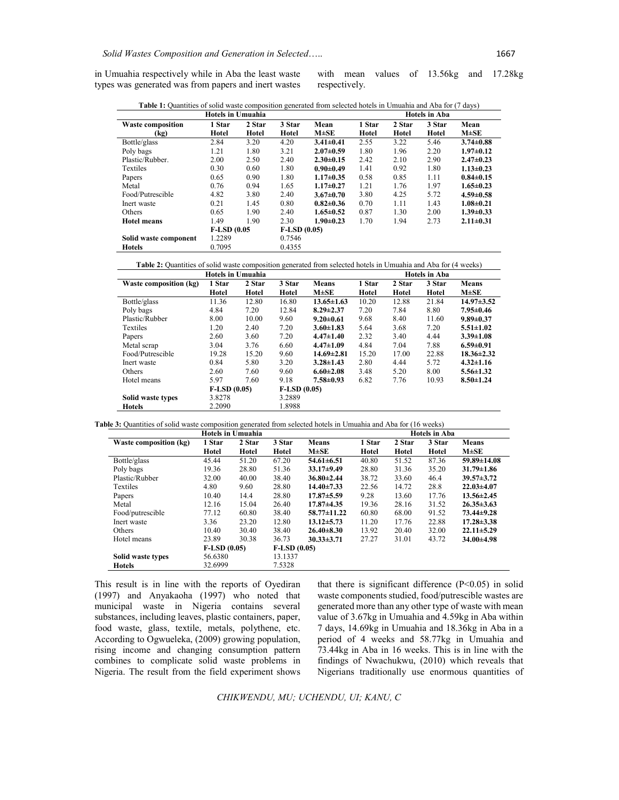**Hotels** 0.7095 0.4355

in Umuahia respectively while in Aba the least waste types was generated was from papers and inert wastes

Solid waste component

with mean values of 13.56kg and 17.28kg respectively.

| Hotels in Umuahia        |        |        |        |                 | . .<br><b>Hotels in Aba</b> |        |        |                 |
|--------------------------|--------|--------|--------|-----------------|-----------------------------|--------|--------|-----------------|
| <b>Waste composition</b> | 1 Star | 2 Star | 3 Star | Mean            | 1 Star                      | 2 Star | 3 Star | Mean            |
| (kg)                     | Hotel  | Hotel  | Hotel  | $M \pm SE$      | Hotel                       | Hotel  | Hotel  | $M \pm SE$      |
| Bottle/glass             | 2.84   | 3.20   | 4.20   | $3.41 \pm 0.41$ | 2.55                        | 3.22   | 5.46   | $3.74 \pm 0.88$ |
| Poly bags                | 1.21   | 1.80   | 3.21   | $2.07 \pm 0.59$ | 1.80                        | 1.96   | 2.20   | $1.97 \pm 0.12$ |
| Plastic/Rubber.          | 2.00   | 2.50   | 2.40   | $2.30 \pm 0.15$ | 2.42                        | 2.10   | 2.90   | $2.47 \pm 0.23$ |
| <b>Textiles</b>          | 0.30   | 0.60   | 1.80   | $0.90 \pm 0.49$ | 1.41                        | 0.92   | 1.80   | $1.13 \pm 0.23$ |
| Papers                   | 0.65   | 0.90   | 1.80   | $1.17 \pm 0.35$ | 0.58                        | 0.85   | 1.11   | $0.84 \pm 0.15$ |
| Metal                    | 0.76   | 0.94   | 1.65   | $1.17 \pm 0.27$ | 1.21                        | 1.76   | 1.97   | $1.65 \pm 0.23$ |
| Food/Putrescible         | 4.82   | 3.80   | 2.40   | $3.67 \pm 0.70$ | 3.80                        | 4.25   | 5.72   | $4.59 \pm 0.58$ |

Inert waste 0.21 1.45 0.80 **0.82±0.36** 0.70 1.11 1.43 **1.08±0.21** Others 0.65 1.90 2.40 **1.65±0.52** 0.87 1.30 2.00 **1.39±0.33 Hotel means** 1.49 1.90 2.30 **1.90±0.23** 1.70 1.94 2.73 **2.11±0.31**

**Table 1:** Quantities of solid waste composition generated from selected hotels in Umuahia and Aba for (7 days)

**Table 2:** Quantities of solid waste composition generated from selected hotels in Umuahia and Aba for (4 weeks)

| Hotels in Umuahia      |               |        |               |                  | <b>Hotels in Aba</b> |        |        |                  |
|------------------------|---------------|--------|---------------|------------------|----------------------|--------|--------|------------------|
| Waste composition (kg) | 1 Star        | 2 Star | 3 Star        | <b>Means</b>     | 1 Star               | 2 Star | 3 Star | <b>Means</b>     |
|                        | Hotel         | Hotel  | Hotel         | $M \pm SE$       | Hotel                | Hotel  | Hotel  | $M \pm SE$       |
| Bottle/glass           | 11.36         | 12.80  | 16.80         | $13.65 \pm 1.63$ | 10.20                | 12.88  | 21.84  | $14.97 \pm 3.52$ |
| Poly bags              | 4.84          | 7.20   | 12.84         | $8.29 \pm 2.37$  | 7.20                 | 7.84   | 8.80   | $7.95 \pm 0.46$  |
| Plastic/Rubber         | 8.00          | 10.00  | 9.60          | $9.20 \pm 0.61$  | 9.68                 | 8.40   | 11.60  | $9.89 \pm 0.37$  |
| Textiles               | 1.20          | 2.40   | 7.20          | $3.60 \pm 1.83$  | 5.64                 | 3.68   | 7.20   | $5.51 \pm 1.02$  |
| Papers                 | 2.60          | 3.60   | 7.20          | $4.47 \pm 1.40$  | 2.32                 | 3.40   | 4.44   | $3.39 \pm 1.08$  |
| Metal scrap            | 3.04          | 3.76   | 6.60          | $4.47 \pm 1.09$  | 4.84                 | 7.04   | 7.88   | $6.59 \pm 0.91$  |
| Food/Putrescible       | 19.28         | 15.20  | 9.60          | $14.69 \pm 2.81$ | 15.20                | 17.00  | 22.88  | $18.36 \pm 2.32$ |
| Inert waste            | 0.84          | 5.80   | 3.20          | $3.28 \pm 1.43$  | 2.80                 | 4.44   | 5.72   | $4.32 \pm 1.16$  |
| <b>Others</b>          | 2.60          | 7.60   | 9.60          | $6.60 \pm 2.08$  | 3.48                 | 5.20   | 8.00   | $5.56 \pm 1.32$  |
| Hotel means            | 5.97          | 7.60   | 9.18          | $7.58 \pm 0.93$  | 6.82                 | 7.76   | 10.93  | $8.50 \pm 1.24$  |
|                        | $F-LSD(0.05)$ |        | $F-LSD(0.05)$ |                  |                      |        |        |                  |
| Solid waste types      | 3.8278        |        | 3.2889        |                  |                      |        |        |                  |
| <b>Hotels</b>          | 2.2090        |        | 1.8988        |                  |                      |        |        |                  |

**Table 3:** Quantities of solid waste composition generated from selected hotels in Umuahia and Aba for (16 weeks)

**F-LSD (0.05 F-LSD (0.05)**<br>1.2289 **0.7546** 

| <b>Hotels in Umuahia</b> |               |        |               |                   |        | <b>Hotels in Aba</b> |        |                   |  |  |
|--------------------------|---------------|--------|---------------|-------------------|--------|----------------------|--------|-------------------|--|--|
| Waste composition (kg)   | 1 Star        | 2 Star | 3 Star        | <b>Means</b>      | 1 Star | 2 Star               | 3 Star | <b>Means</b>      |  |  |
|                          | Hotel         | Hotel  | Hotel         | $M \pm SE$        | Hotel  | Hotel                | Hotel  | $M \pm SE$        |  |  |
| Bottle/glass             | 45.44         | 51.20  | 67.20         | $54.61 \pm 6.51$  | 40.80  | 51.52                | 87.36  | $59.89 \pm 14.08$ |  |  |
| Poly bags                | 19.36         | 28.80  | 51.36         | $33.17 \pm 9.49$  | 28.80  | 31.36                | 35.20  | $31.79 \pm 1.86$  |  |  |
| Plastic/Rubber           | 32.00         | 40.00  | 38.40         | $36.80 \pm 2.44$  | 38.72  | 33.60                | 46.4   | $39.57 \pm 3.72$  |  |  |
| Textiles                 | 4.80          | 9.60   | 28.80         | $14.40 \pm 7.33$  | 22.56  | 14.72                | 28.8   | $22.03 \pm 4.07$  |  |  |
| Papers                   | 10.40         | 14.4   | 28.80         | $17.87 \pm 5.59$  | 9.28   | 13.60                | 17.76  | $13.56 \pm 2.45$  |  |  |
| Metal                    | 12.16         | 15.04  | 26.40         | $17.87 \pm 4.35$  | 19.36  | 28.16                | 31.52  | $26.35 \pm 3.63$  |  |  |
| Food/putrescible         | 77.12         | 60.80  | 38.40         | $58.77 \pm 11.22$ | 60.80  | 68.00                | 91.52  | $73.44 \pm 9.28$  |  |  |
| Inert waste              | 3.36          | 23.20  | 12.80         | $13.12 \pm 5.73$  | 11.20  | 17.76                | 22.88  | $17.28 \pm 3.38$  |  |  |
| <b>Others</b>            | 10.40         | 30.40  | 38.40         | $26.40\pm8.30$    | 13.92  | 20.40                | 32.00  | $22.11 \pm 5.29$  |  |  |
| Hotel means              | 23.89         | 30.38  | 36.73         | $30.33 \pm 3.71$  | 27.27  | 31.01                | 43.72  | $34.00\pm4.98$    |  |  |
|                          | $F-LSD(0.05)$ |        | $F-LSD(0.05)$ |                   |        |                      |        |                   |  |  |
| Solid waste types        | 56.6380       |        | 13.1337       |                   |        |                      |        |                   |  |  |
| Hotels                   | 32.6999       |        | 7.5328        |                   |        |                      |        |                   |  |  |

This result is in line with the reports of Oyediran (1997) and Anyakaoha (1997) who noted that municipal waste in Nigeria contains several substances, including leaves, plastic containers, paper, food waste, glass, textile, metals, polythene, etc. According to Ogwueleka, (2009) growing population, rising income and changing consumption pattern combines to complicate solid waste problems in Nigeria. The result from the field experiment shows that there is significant difference  $(P<0.05)$  in solid waste components studied, food/putrescible wastes are generated more than any other type of waste with mean value of 3.67kg in Umuahia and 4.59kg in Aba within 7 days, 14.69kg in Umuahia and 18.36kg in Aba in a period of 4 weeks and 58.77kg in Umuahia and 73.44kg in Aba in 16 weeks. This is in line with the findings of Nwachukwu, (2010) which reveals that Nigerians traditionally use enormous quantities of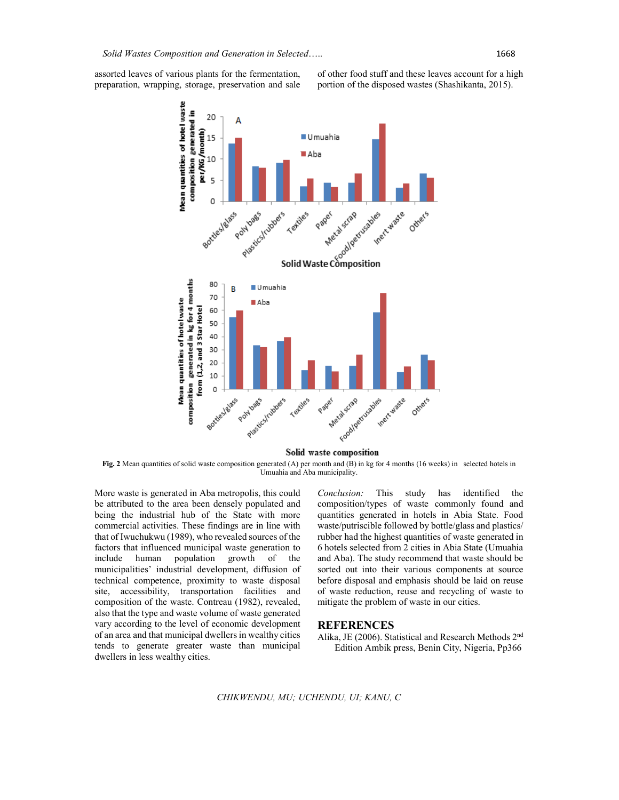assorted leaves of various plants for the fermentation, preparation, wrapping, storage, preservation and sale

of other food stuff and these leaves account for a high portion of the disposed wastes (Shashikanta, 2015).



Solid waste composition

**Fig. 2** Mean quantities of solid waste composition generated (A) per month and (B) in kg for 4 months (16 weeks) in selected hotels in Umuahia and Aba municipality.

More waste is generated in Aba metropolis, this could be attributed to the area been densely populated and being the industrial hub of the State with more commercial activities. These findings are in line with that of Iwuchukwu (1989), who revealed sources of the factors that influenced municipal waste generation to include human population growth of the municipalities' industrial development, diffusion of technical competence, proximity to waste disposal site, accessibility, transportation facilities and composition of the waste. Contreau (1982), revealed, also that the type and waste volume of waste generated vary according to the level of economic development of an area and that municipal dwellers in wealthy cities tends to generate greater waste than municipal dwellers in less wealthy cities.

*Conclusion:* This study has identified the composition/types of waste commonly found and quantities generated in hotels in Abia State. Food waste/putriscible followed by bottle/glass and plastics/ rubber had the highest quantities of waste generated in 6 hotels selected from 2 cities in Abia State (Umuahia and Aba). The study recommend that waste should be sorted out into their various components at source before disposal and emphasis should be laid on reuse of waste reduction, reuse and recycling of waste to mitigate the problem of waste in our cities.

#### **REFERENCES**

Alika, JE (2006). Statistical and Research Methods 2nd Edition Ambik press, Benin City, Nigeria, Pp366